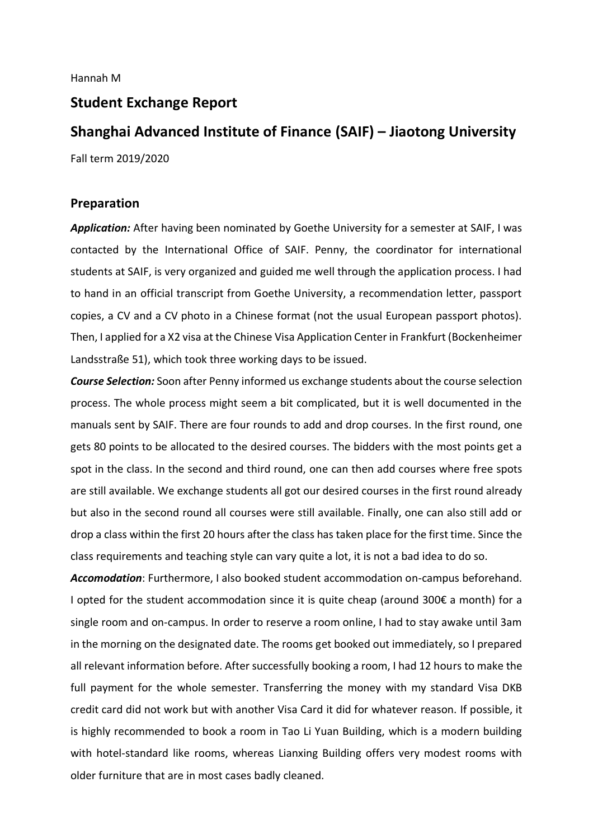## **Student Exchange Report**

# **Shanghai Advanced Institute of Finance (SAIF) – Jiaotong University**

Fall term 2019/2020

### **Preparation**

*Application:* After having been nominated by Goethe University for a semester at SAIF, I was contacted by the International Office of SAIF. Penny, the coordinator for international students at SAIF, is very organized and guided me well through the application process. I had to hand in an official transcript from Goethe University, a recommendation letter, passport copies, a CV and a CV photo in a Chinese format (not the usual European passport photos). Then, I applied for a X2 visa at the Chinese Visa Application Center in Frankfurt (Bockenheimer Landsstraße 51), which took three working days to be issued.

*Course Selection:* Soon after Penny informed us exchange students about the course selection process. The whole process might seem a bit complicated, but it is well documented in the manuals sent by SAIF. There are four rounds to add and drop courses. In the first round, one gets 80 points to be allocated to the desired courses. The bidders with the most points get a spot in the class. In the second and third round, one can then add courses where free spots are still available. We exchange students all got our desired courses in the first round already but also in the second round all courses were still available. Finally, one can also still add or drop a class within the first 20 hours after the class has taken place for the first time. Since the class requirements and teaching style can vary quite a lot, it is not a bad idea to do so.

*Accomodation*: Furthermore, I also booked student accommodation on-campus beforehand. I opted for the student accommodation since it is quite cheap (around 300€ a month) for a single room and on-campus. In order to reserve a room online, I had to stay awake until 3am in the morning on the designated date. The rooms get booked out immediately, so I prepared all relevant information before. After successfully booking a room, I had 12 hours to make the full payment for the whole semester. Transferring the money with my standard Visa DKB credit card did not work but with another Visa Card it did for whatever reason. If possible, it is highly recommended to book a room in Tao Li Yuan Building, which is a modern building with hotel-standard like rooms, whereas Lianxing Building offers very modest rooms with older furniture that are in most cases badly cleaned.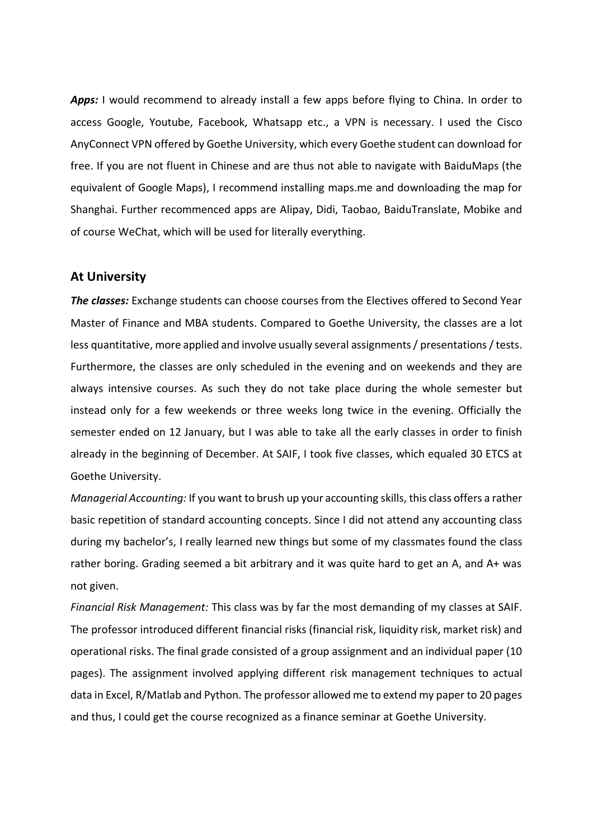Apps: I would recommend to already install a few apps before flying to China. In order to access Google, Youtube, Facebook, Whatsapp etc., a VPN is necessary. I used the Cisco AnyConnect VPN offered by Goethe University, which every Goethe student can download for free. If you are not fluent in Chinese and are thus not able to navigate with BaiduMaps (the equivalent of Google Maps), I recommend installing maps.me and downloading the map for Shanghai. Further recommenced apps are Alipay, Didi, Taobao, BaiduTranslate, Mobike and of course WeChat, which will be used for literally everything.

#### **At University**

*The classes:* Exchange students can choose courses from the Electives offered to Second Year Master of Finance and MBA students. Compared to Goethe University, the classes are a lot less quantitative, more applied and involve usually several assignments / presentations / tests. Furthermore, the classes are only scheduled in the evening and on weekends and they are always intensive courses. As such they do not take place during the whole semester but instead only for a few weekends or three weeks long twice in the evening. Officially the semester ended on 12 January, but I was able to take all the early classes in order to finish already in the beginning of December. At SAIF, I took five classes, which equaled 30 ETCS at Goethe University.

*Managerial Accounting:* If you want to brush up your accounting skills, this class offers a rather basic repetition of standard accounting concepts. Since I did not attend any accounting class during my bachelor's, I really learned new things but some of my classmates found the class rather boring. Grading seemed a bit arbitrary and it was quite hard to get an A, and A+ was not given.

*Financial Risk Management:* This class was by far the most demanding of my classes at SAIF. The professor introduced different financial risks (financial risk, liquidity risk, market risk) and operational risks. The final grade consisted of a group assignment and an individual paper (10 pages). The assignment involved applying different risk management techniques to actual data in Excel, R/Matlab and Python. The professor allowed me to extend my paper to 20 pages and thus, I could get the course recognized as a finance seminar at Goethe University.